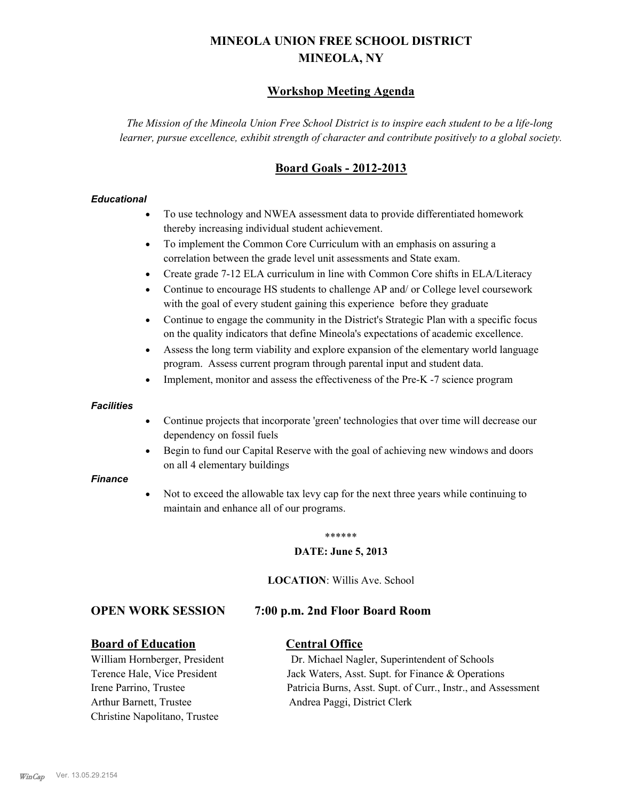# **MINEOLA UNION FREE SCHOOL DISTRICT MINEOLA, NY**

# **Workshop Meeting Agenda**

*The Mission of the Mineola Union Free School District is to inspire each student to be a life-long learner, pursue excellence, exhibit strength of character and contribute positively to a global society.*

# **Board Goals - 2012-2013**

#### *Educational*

- · To use technology and NWEA assessment data to provide differentiated homework thereby increasing individual student achievement.
- · To implement the Common Core Curriculum with an emphasis on assuring a correlation between the grade level unit assessments and State exam.
- Create grade 7-12 ELA curriculum in line with Common Core shifts in ELA/Literacy
- Continue to encourage HS students to challenge AP and/ or College level coursework with the goal of every student gaining this experience before they graduate
- · Continue to engage the community in the District's Strategic Plan with a specific focus on the quality indicators that define Mineola's expectations of academic excellence.
- Assess the long term viability and explore expansion of the elementary world language program. Assess current program through parental input and student data.
- Implement, monitor and assess the effectiveness of the Pre-K -7 science program

#### *Facilities*

- · Continue projects that incorporate 'green' technologies that over time will decrease our dependency on fossil fuels
- Begin to fund our Capital Reserve with the goal of achieving new windows and doors on all 4 elementary buildings

#### *Finance*

Not to exceed the allowable tax levy cap for the next three years while continuing to maintain and enhance all of our programs.

#### \*\*\*\*\*\*

#### **DATE: June 5, 2013**

**LOCATION**: Willis Ave. School

### **OPEN WORK SESSION 7:00 p.m. 2nd Floor Board Room**

### **Board of Education Central Office**

Arthur Barnett, Trustee Andrea Paggi, District Clerk Christine Napolitano, Trustee

William Hornberger, President Dr. Michael Nagler, Superintendent of Schools Terence Hale, Vice President Jack Waters, Asst. Supt. for Finance & Operations Irene Parrino, Trustee Patricia Burns, Asst. Supt. of Curr., Instr., and Assessment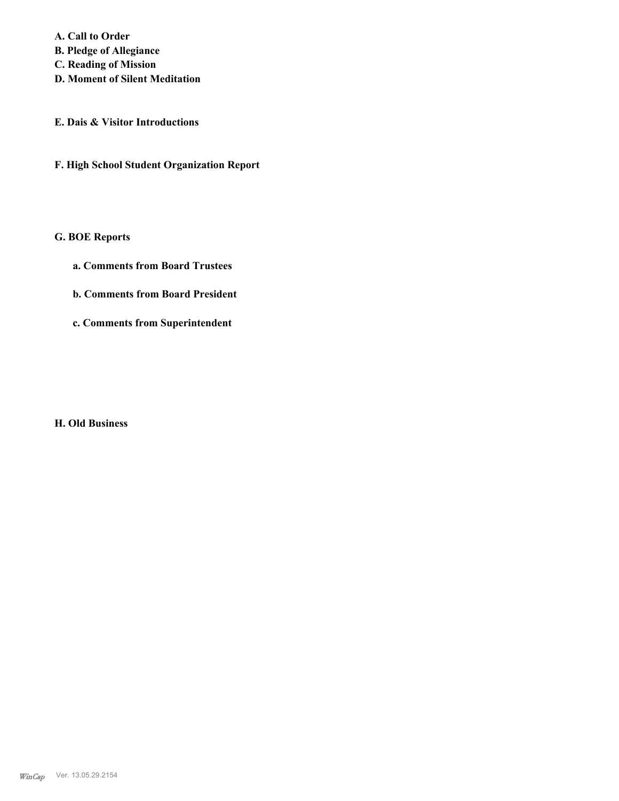**A. Call to Order B. Pledge of Allegiance C. Reading of Mission**

- **D. Moment of Silent Meditation**
- **E. Dais & Visitor Introductions**
- **F. High School Student Organization Report**

# **G. BOE Reports**

- **a. Comments from Board Trustees**
- **b. Comments from Board President**
- **c. Comments from Superintendent**

**H. Old Business**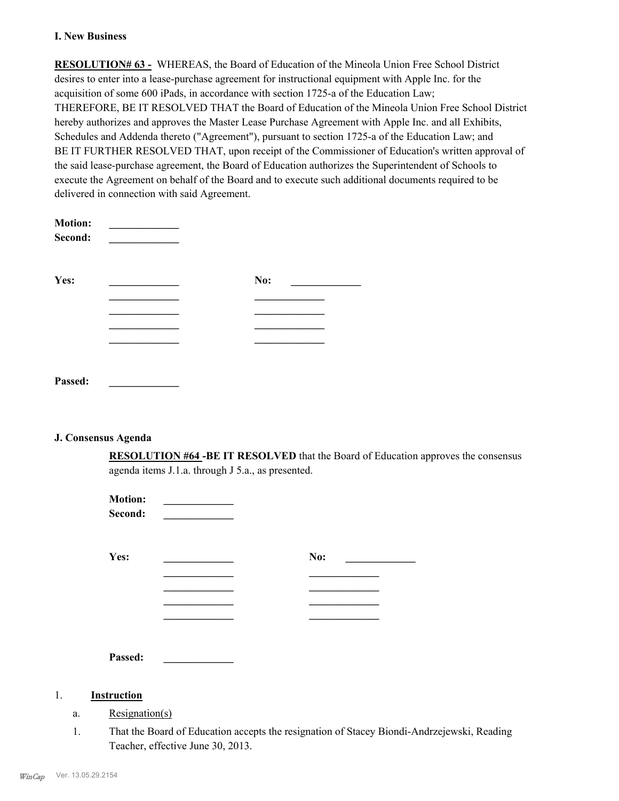#### **I. New Business**

**RESOLUTION# 63 -** WHEREAS, the Board of Education of the Mineola Union Free School District desires to enter into a lease-purchase agreement for instructional equipment with Apple Inc. for the acquisition of some 600 iPads, in accordance with section 1725-a of the Education Law; THEREFORE, BE IT RESOLVED THAT the Board of Education of the Mineola Union Free School District hereby authorizes and approves the Master Lease Purchase Agreement with Apple Inc. and all Exhibits, Schedules and Addenda thereto ("Agreement"), pursuant to section 1725-a of the Education Law; and BE IT FURTHER RESOLVED THAT, upon receipt of the Commissioner of Education's written approval of the said lease-purchase agreement, the Board of Education authorizes the Superintendent of Schools to execute the Agreement on behalf of the Board and to execute such additional documents required to be delivered in connection with said Agreement.

| <b>Motion:</b><br>Second: |     |
|---------------------------|-----|
| Yes:                      | No: |
|                           |     |
|                           |     |
|                           |     |
|                           |     |
|                           |     |
| Passed:                   |     |

#### **J. Consensus Agenda**

**RESOLUTION #64 -BE IT RESOLVED** that the Board of Education approves the consensus agenda items J.1.a. through J 5.a., as presented.

| <b>Motion:</b><br>Second: |     |
|---------------------------|-----|
| Yes:                      | No: |
|                           |     |
|                           |     |
|                           |     |
|                           |     |
|                           |     |
| Passed:                   |     |

### 1. **Instruction**

- a. Resignation(s)
- That the Board of Education accepts the resignation of Stacey Biondi-Andrzejewski, Reading Teacher, effective June 30, 2013. 1.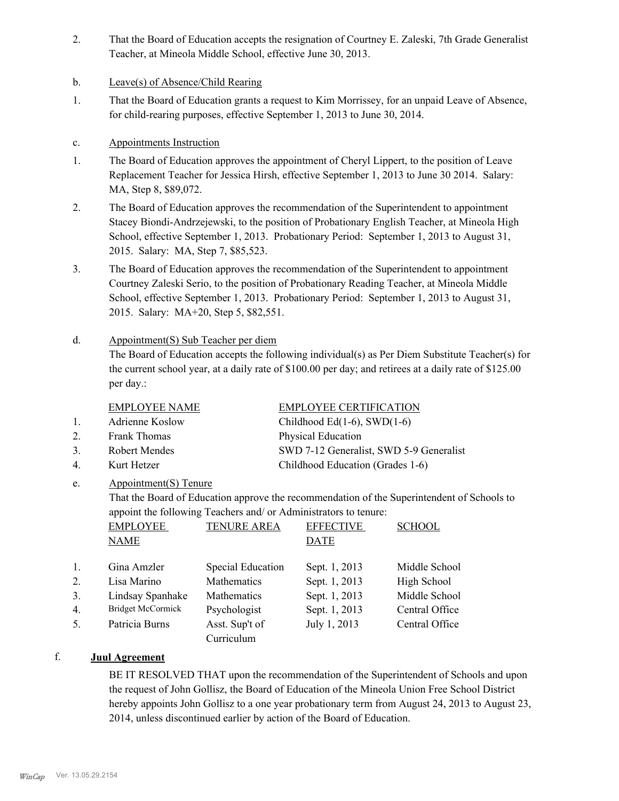- That the Board of Education accepts the resignation of Courtney E. Zaleski, 7th Grade Generalist Teacher, at Mineola Middle School, effective June 30, 2013. 2.
- b. Leave(s) of Absence/Child Rearing
- That the Board of Education grants a request to Kim Morrissey, for an unpaid Leave of Absence, for child-rearing purposes, effective September 1, 2013 to June 30, 2014. 1.

## c. Appointments Instruction

- The Board of Education approves the appointment of Cheryl Lippert, to the position of Leave Replacement Teacher for Jessica Hirsh, effective September 1, 2013 to June 30 2014. Salary: MA, Step 8, \$89,072. 1.
- The Board of Education approves the recommendation of the Superintendent to appointment Stacey Biondi-Andrzejewski, to the position of Probationary English Teacher, at Mineola High School, effective September 1, 2013. Probationary Period: September 1, 2013 to August 31, 2015. Salary: MA, Step 7, \$85,523. 2.
- The Board of Education approves the recommendation of the Superintendent to appointment Courtney Zaleski Serio, to the position of Probationary Reading Teacher, at Mineola Middle School, effective September 1, 2013. Probationary Period: September 1, 2013 to August 31, 2015. Salary: MA+20, Step 5, \$82,551. 3.

#### Appointment(S) Sub Teacher per diem d.

The Board of Education accepts the following individual(s) as Per Diem Substitute Teacher(s) for the current school year, at a daily rate of \$100.00 per day; and retirees at a daily rate of \$125.00 per day.:

### EMPLOYEE NAME EMPLOYEE CERTIFICATION

- 1. Adrienne Koslow Childhood Ed(1-6), SWD(1-6)
- 2. Frank Thomas Physical Education
- 
- 4. Kurt Hetzer Childhood Education (Grades 1-6)

3. Robert Mendes SWD 7-12 Generalist, SWD 5-9 Generalist

Appointment(S) Tenure e.

> That the Board of Education approve the recommendation of the Superintendent of Schools to appoint the following Teachers and/ or Administrators to tenure:

|    | <b>EMPLOYEE</b><br><b>NAME</b> | <b>TENURE AREA</b> | <b>EFFECTIVE</b><br><b>DATE</b> | <b>SCHOOL</b>  |
|----|--------------------------------|--------------------|---------------------------------|----------------|
| 1. | Gina Amzler                    | Special Education  | Sept. 1, 2013                   | Middle School  |
| 2. | Lisa Marino                    | Mathematics        | Sept. 1, 2013                   | High School    |
| 3. | Lindsay Spanhake               | Mathematics        | Sept. 1, 2013                   | Middle School  |
| 4. | Bridget McCormick              | Psychologist       | Sept. 1, 2013                   | Central Office |
| 5. | Patricia Burns                 | Asst. Sup't of     | July 1, 2013                    | Central Office |
|    |                                | Curriculum         |                                 |                |

# f. **Juul Agreement**

BE IT RESOLVED THAT upon the recommendation of the Superintendent of Schools and upon the request of John Gollisz, the Board of Education of the Mineola Union Free School District hereby appoints John Gollisz to a one year probationary term from August 24, 2013 to August 23, 2014, unless discontinued earlier by action of the Board of Education.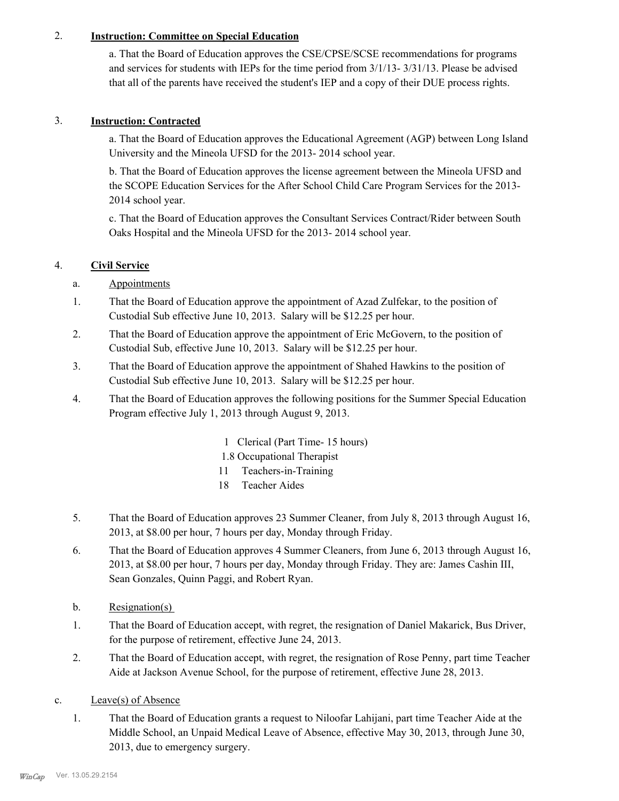# 2. **Instruction: Committee on Special Education**

a. That the Board of Education approves the CSE/CPSE/SCSE recommendations for programs and services for students with IEPs for the time period from 3/1/13- 3/31/13. Please be advised that all of the parents have received the student's IEP and a copy of their DUE process rights.

## 3. **Instruction: Contracted**

a. That the Board of Education approves the Educational Agreement (AGP) between Long Island University and the Mineola UFSD for the 2013- 2014 school year.

b. That the Board of Education approves the license agreement between the Mineola UFSD and the SCOPE Education Services for the After School Child Care Program Services for the 2013- 2014 school year.

c. That the Board of Education approves the Consultant Services Contract/Rider between South Oaks Hospital and the Mineola UFSD for the 2013- 2014 school year.

# 4. **Civil Service**

- a. Appointments
- That the Board of Education approve the appointment of Azad Zulfekar, to the position of Custodial Sub effective June 10, 2013. Salary will be \$12.25 per hour. 1.
- That the Board of Education approve the appointment of Eric McGovern, to the position of Custodial Sub, effective June 10, 2013. Salary will be \$12.25 per hour. 2.
- That the Board of Education approve the appointment of Shahed Hawkins to the position of Custodial Sub effective June 10, 2013. Salary will be \$12.25 per hour. 3.
- That the Board of Education approves the following positions for the Summer Special Education Program effective July 1, 2013 through August 9, 2013. 4.
	- 1 Clerical (Part Time- 15 hours)
	- 1.8 Occupational Therapist
	- 11 Teachers-in-Training
	- 18 Teacher Aides
- That the Board of Education approves 23 Summer Cleaner, from July 8, 2013 through August 16, 2013, at \$8.00 per hour, 7 hours per day, Monday through Friday. 5.
- That the Board of Education approves 4 Summer Cleaners, from June 6, 2013 through August 16, 2013, at \$8.00 per hour, 7 hours per day, Monday through Friday. They are: James Cashin III, Sean Gonzales, Quinn Paggi, and Robert Ryan. 6.
- b. Resignation(s)
- That the Board of Education accept, with regret, the resignation of Daniel Makarick, Bus Driver, for the purpose of retirement, effective June 24, 2013. 1.
- That the Board of Education accept, with regret, the resignation of Rose Penny, part time Teacher Aide at Jackson Avenue School, for the purpose of retirement, effective June 28, 2013. 2.
- c. Leave(s) of Absence
	- That the Board of Education grants a request to Niloofar Lahijani, part time Teacher Aide at the Middle School, an Unpaid Medical Leave of Absence, effective May 30, 2013, through June 30, 2013, due to emergency surgery. 1.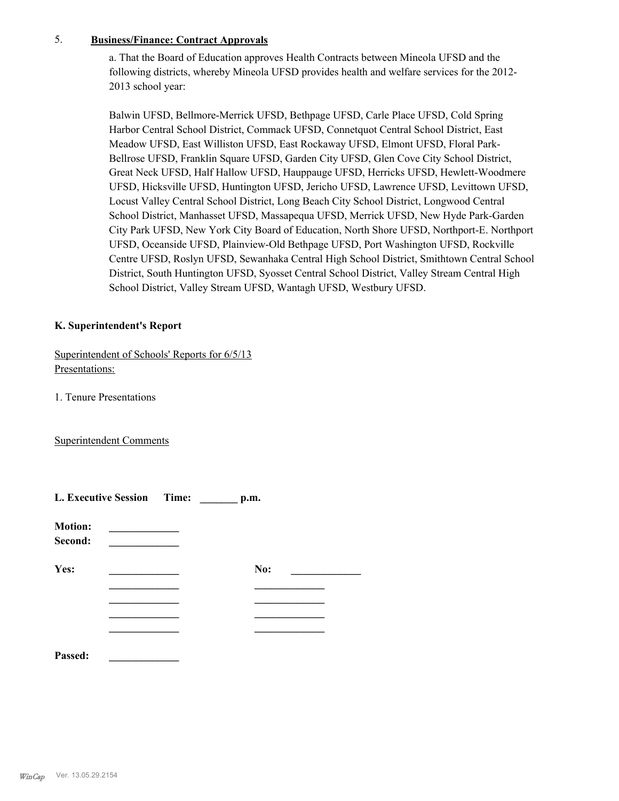### 5. **Business/Finance: Contract Approvals**

a. That the Board of Education approves Health Contracts between Mineola UFSD and the following districts, whereby Mineola UFSD provides health and welfare services for the 2012- 2013 school year:

Balwin UFSD, Bellmore-Merrick UFSD, Bethpage UFSD, Carle Place UFSD, Cold Spring Harbor Central School District, Commack UFSD, Connetquot Central School District, East Meadow UFSD, East Williston UFSD, East Rockaway UFSD, Elmont UFSD, Floral Park-Bellrose UFSD, Franklin Square UFSD, Garden City UFSD, Glen Cove City School District, Great Neck UFSD, Half Hallow UFSD, Hauppauge UFSD, Herricks UFSD, Hewlett-Woodmere UFSD, Hicksville UFSD, Huntington UFSD, Jericho UFSD, Lawrence UFSD, Levittown UFSD, Locust Valley Central School District, Long Beach City School District, Longwood Central School District, Manhasset UFSD, Massapequa UFSD, Merrick UFSD, New Hyde Park-Garden City Park UFSD, New York City Board of Education, North Shore UFSD, Northport-E. Northport UFSD, Oceanside UFSD, Plainview-Old Bethpage UFSD, Port Washington UFSD, Rockville Centre UFSD, Roslyn UFSD, Sewanhaka Central High School District, Smithtown Central School District, South Huntington UFSD, Syosset Central School District, Valley Stream Central High School District, Valley Stream UFSD, Wantagh UFSD, Westbury UFSD.

### **K. Superintendent's Report**

Superintendent of Schools' Reports for 6/5/13 Presentations:

1. Tenure Presentations

Superintendent Comments

| L. Executive Session Time: |  |  | p.m. |  |  |
|----------------------------|--|--|------|--|--|
| <b>Motion:</b><br>Second:  |  |  |      |  |  |
| Yes:                       |  |  | No:  |  |  |
|                            |  |  |      |  |  |
|                            |  |  |      |  |  |
| Passed:                    |  |  |      |  |  |